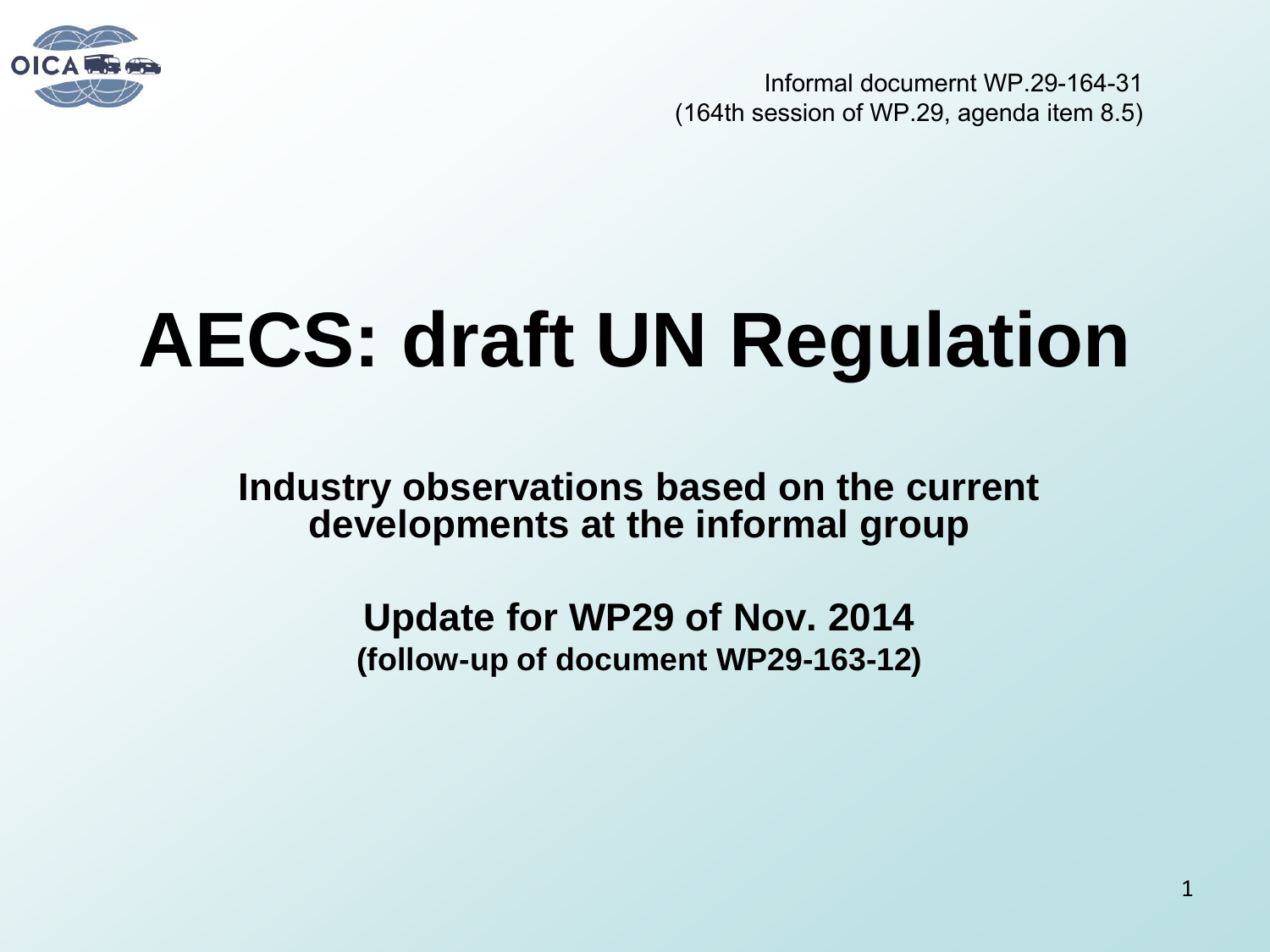

Informal documernt WP.29-164-31 (164th session of WP.29, agenda item 8.5)

# **AECS: draft UN Regulation**

**Industry observations based on the current developments at the informal group** 

> **Update for WP29 of Nov. 2014 (follow-up of document WP29-163-12)**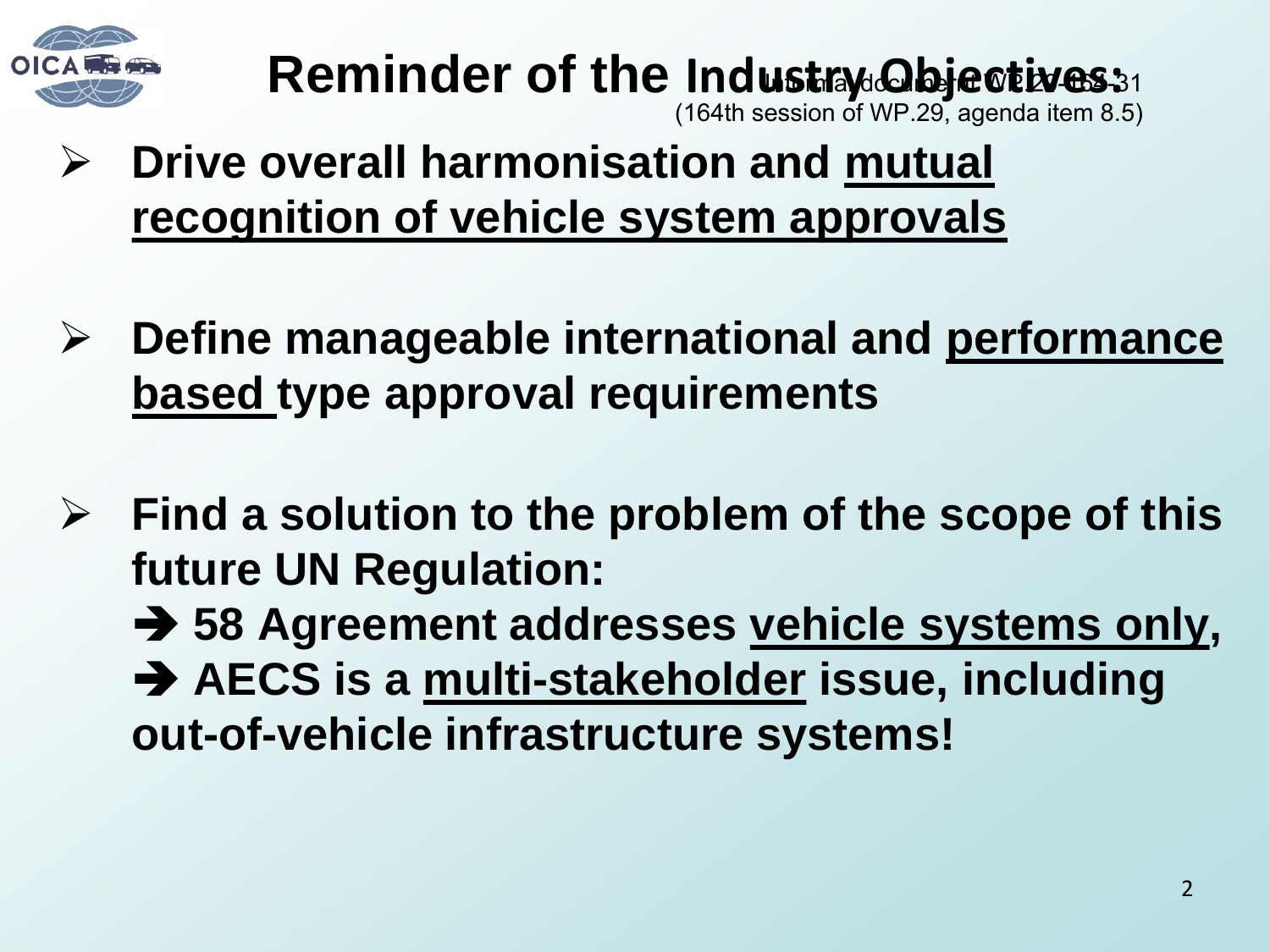

### Reminder of the Industry Objectives:

(164th session of WP.29, agenda item 8.5)

- **Drive overall harmonisation and mutual recognition of vehicle system approvals**
- **Define manageable international and performance based type approval requirements**
- **Find a solution to the problem of the scope of this future UN Regulation:** 
	- **→ 58 Agreement addresses vehicle systems only, → AECS is a multi-stakeholder issue, including out-of-vehicle infrastructure systems!**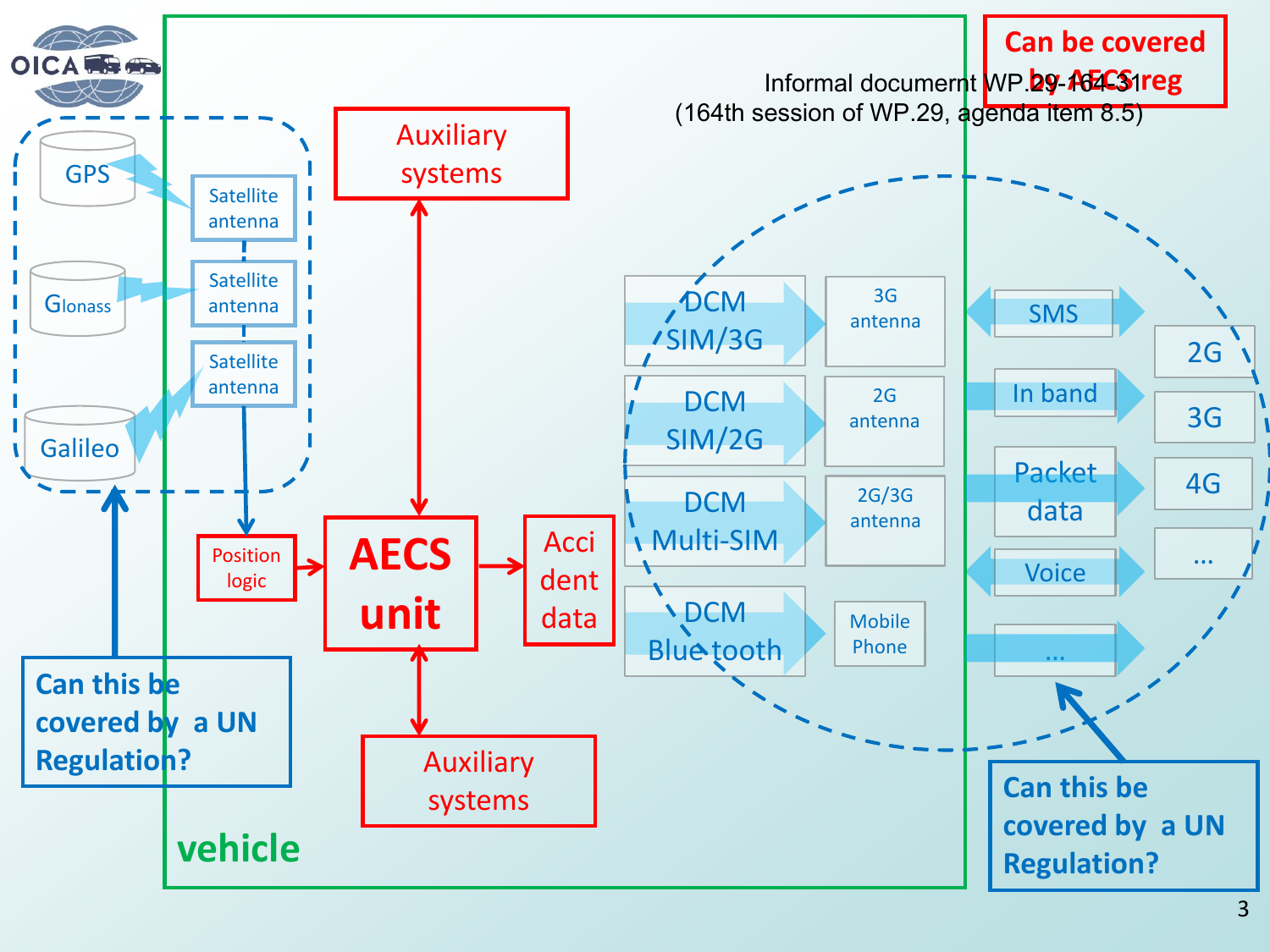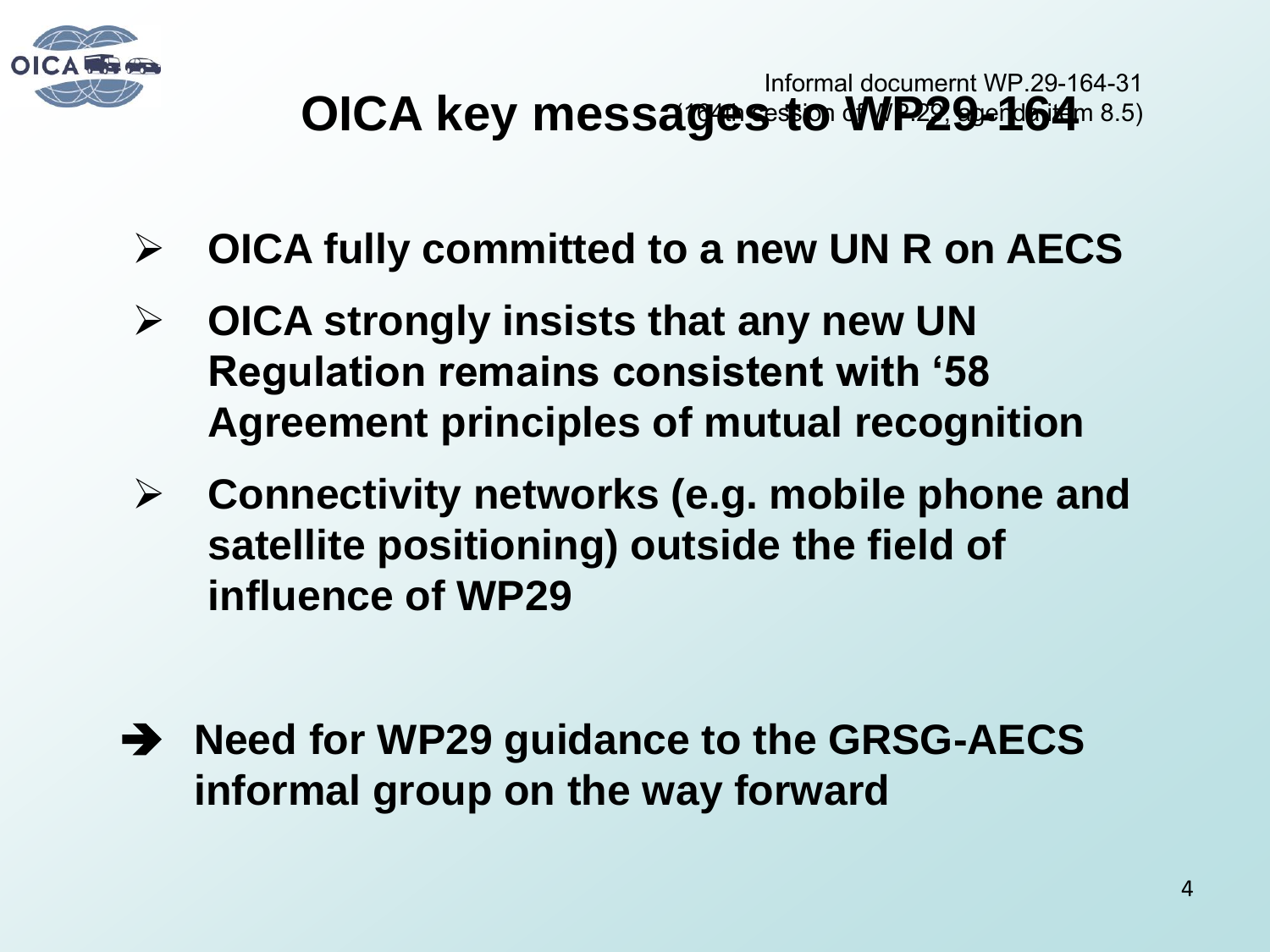

- **OICA fully committed to a new UN R on AECS**
- **OICA strongly insists that any new UN Regulation remains consistent with '58 Agreement principles of mutual recognition**
- **Connectivity networks (e.g. mobile phone and satellite positioning) outside the field of influence of WP29**
- ◆ Need for WP29 guidance to the GRSG-AECS **informal group on the way forward**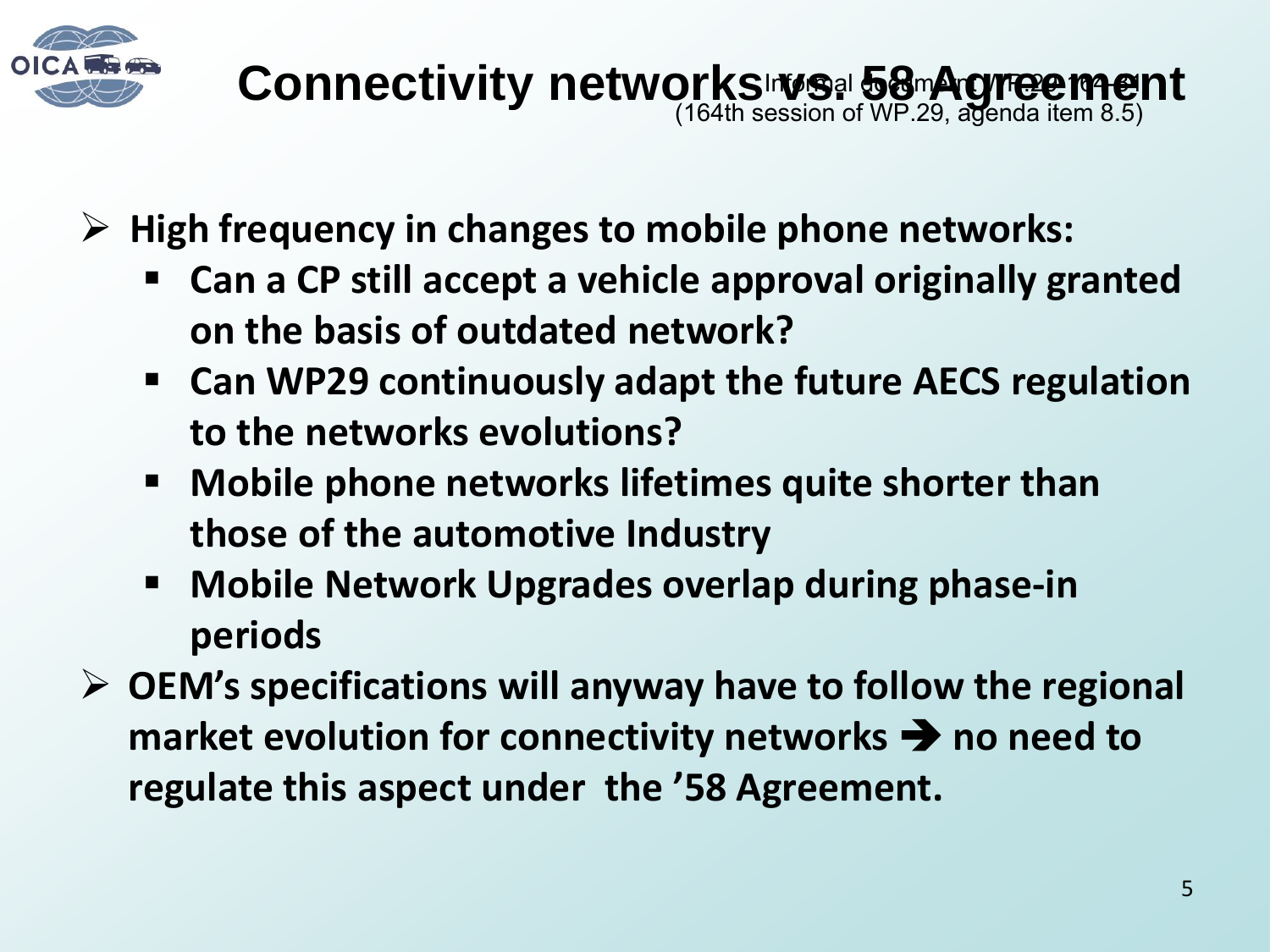

- **High frequency in changes to mobile phone networks:** 
	- **Can a CP still accept a vehicle approval originally granted on the basis of outdated network?**
	- **Can WP29 continuously adapt the future AECS regulation to the networks evolutions?**
	- **Mobile phone networks lifetimes quite shorter than those of the automotive Industry**
	- **Mobile Network Upgrades overlap during phase-in periods**
- **OEM's specifications will anyway have to follow the regional market evolution for connectivity networks**  $\rightarrow$  **no need to regulate this aspect under the '58 Agreement.**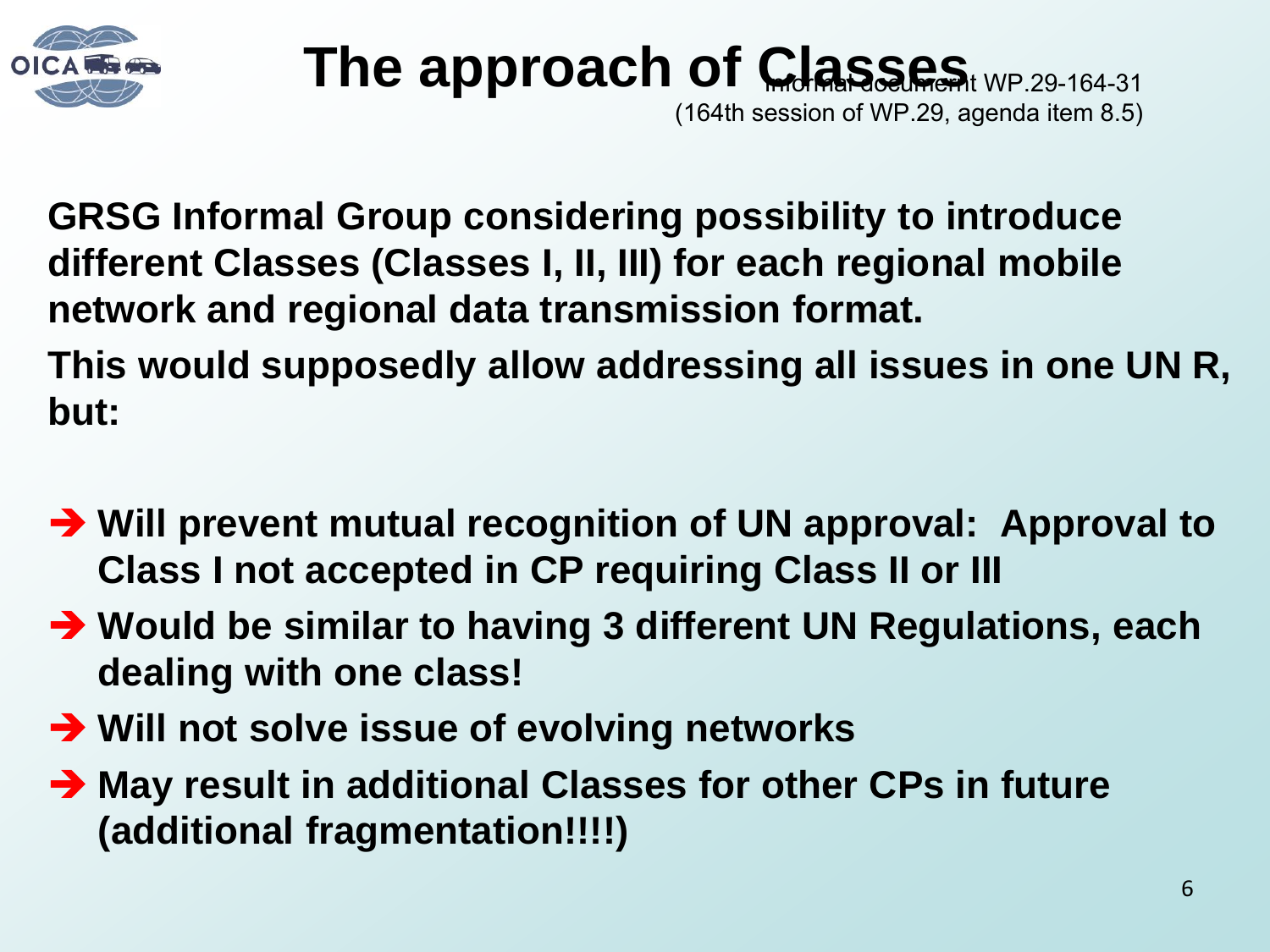

## **The approach of Classes** WP.29-164-31

(164th session of WP.29, agenda item 8.5)

**GRSG Informal Group considering possibility to introduce different Classes (Classes I, II, III) for each regional mobile network and regional data transmission format.** 

**This would supposedly allow addressing all issues in one UN R, but:** 

- **→ Will prevent mutual recognition of UN approval: Approval to Class I not accepted in CP requiring Class II or III**
- **→ Would be similar to having 3 different UN Regulations, each dealing with one class!**
- **→ Will not solve issue of evolving networks**
- **→ May result in additional Classes for other CPs in future (additional fragmentation!!!!)**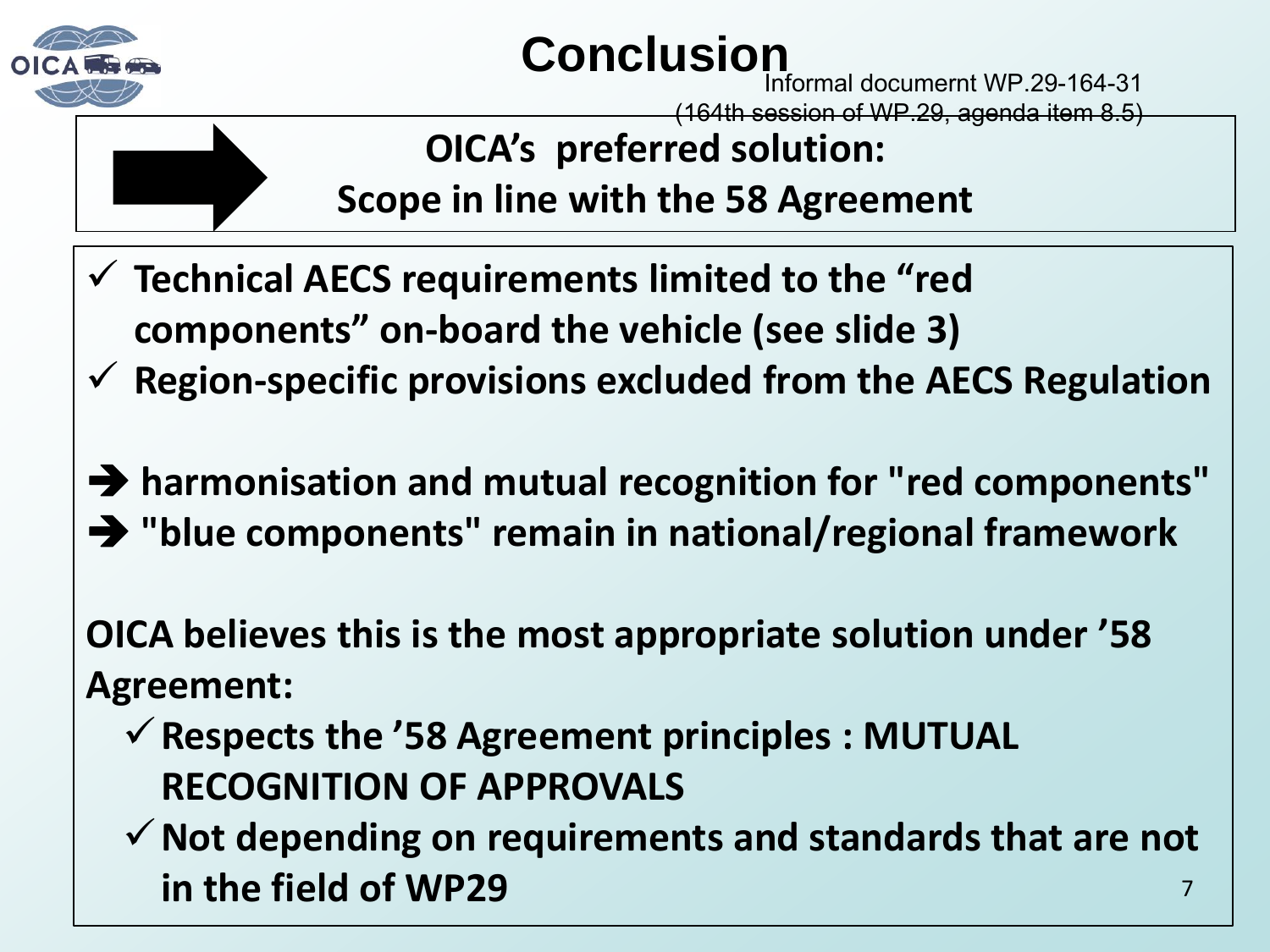

#### **Conclusion**

Informal documernt WP.29-164-31

(164th session of WP.29, agenda item 8.5)



**OICA's preferred solution: Scope in line with the 58 Agreement** 

- **Technical AECS requirements limited to the "red components" on-board the vehicle (see slide 3)**
- **Region-specific provisions excluded from the AECS Regulation**

 **harmonisation and mutual recognition for "red components" "blue components" remain in national/regional framework** 

**OICA believes this is the most appropriate solution under '58 Agreement:** 

- **Respects the '58 Agreement principles : MUTUAL RECOGNITION OF APPROVALS**
- 7 **Not depending on requirements and standards that are not in the field of WP29**